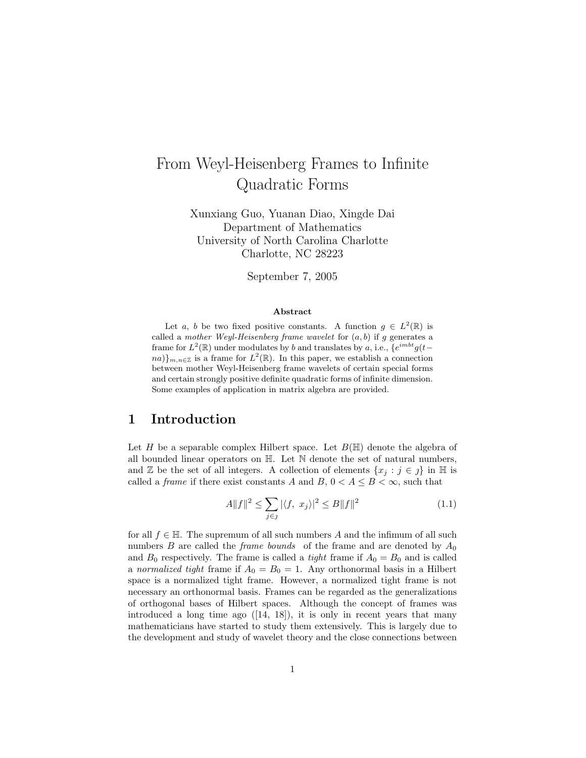# From Weyl-Heisenberg Frames to Infinite Quadratic Forms

Xunxiang Guo, Yuanan Diao, Xingde Dai Department of Mathematics University of North Carolina Charlotte Charlotte, NC 28223

September 7, 2005

#### Abstract

Let a, b be two fixed positive constants. A function  $g \in L^2(\mathbb{R})$  is called a mother Weyl-Heisenberg frame wavelet for  $(a, b)$  if g generates a frame for  $L^2(\mathbb{R})$  under modulates by b and translates by a, i.e.,  $\{e^{imbt}g(t-\alpha)\}$  $n a)$ <sub>m,n∈Z</sub> is a frame for  $L^2(\mathbb{R})$ . In this paper, we establish a connection between mother Weyl-Heisenberg frame wavelets of certain special forms and certain strongly positive definite quadratic forms of infinite dimension. Some examples of application in matrix algebra are provided.

### 1 Introduction

Let H be a separable complex Hilbert space. Let  $B(\mathbb{H})$  denote the algebra of all bounded linear operators on H. Let N denote the set of natural numbers, and Z be the set of all integers. A collection of elements  $\{x_i : j \in j\}$  in H is called a *frame* if there exist constants A and B,  $0 < A \leq B < \infty$ , such that

$$
A||f||^2 \le \sum_{j \in \mathcal{J}} |\langle f, x_j \rangle|^2 \le B||f||^2 \tag{1.1}
$$

for all  $f \in \mathbb{H}$ . The supremum of all such numbers A and the infimum of all such numbers B are called the *frame bounds* of the frame and are denoted by  $A_0$ and  $B_0$  respectively. The frame is called a *tight* frame if  $A_0 = B_0$  and is called a normalized tight frame if  $A_0 = B_0 = 1$ . Any orthonormal basis in a Hilbert space is a normalized tight frame. However, a normalized tight frame is not necessary an orthonormal basis. Frames can be regarded as the generalizations of orthogonal bases of Hilbert spaces. Although the concept of frames was introduced a long time ago  $([14, 18])$ , it is only in recent years that many mathematicians have started to study them extensively. This is largely due to the development and study of wavelet theory and the close connections between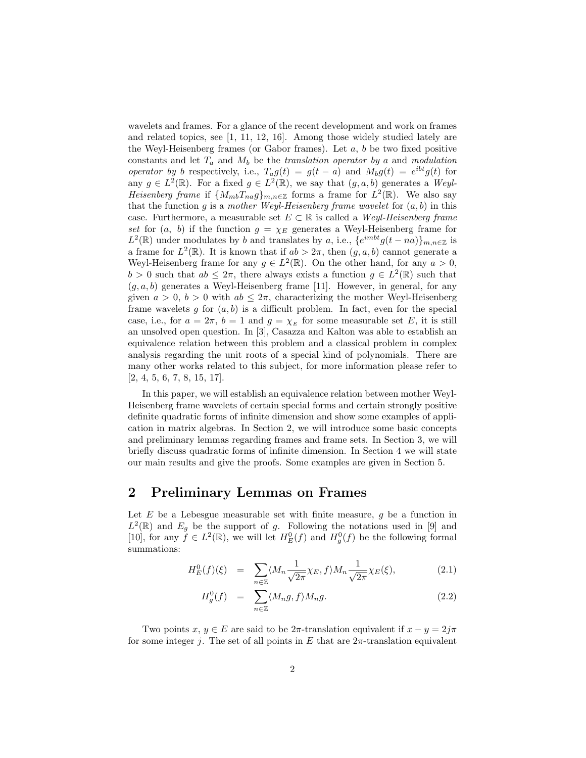wavelets and frames. For a glance of the recent development and work on frames and related topics, see [1, 11, 12, 16]. Among those widely studied lately are the Weyl-Heisenberg frames (or Gabor frames). Let  $a, b$  be two fixed positive constants and let  $T_a$  and  $M_b$  be the translation operator by a and modulation operator by b respectively, i.e.,  $T_a g(t) = g(t-a)$  and  $M_b g(t) = e^{ibt} g(t)$  for any  $g \in L^2(\mathbb{R})$ . For a fixed  $g \in L^2(\mathbb{R})$ , we say that  $(g, a, b)$  generates a Weyl-Heisenberg frame if  $\{M_{mb}T_{na}g\}_{m,n\in\mathbb{Z}}$  forms a frame for  $L^2(\mathbb{R})$ . We also say that the function g is a mother Weyl-Heisenberg frame wavelet for  $(a, b)$  in this case. Furthermore, a measurable set  $E \subset \mathbb{R}$  is called a *Weyl-Heisenberg frame* set for  $(a, b)$  if the function  $g = \chi_E$  generates a Weyl-Heisenberg frame for  $L^2(\mathbb{R})$  under modulates by b and translates by a, i.e.,  $\{e^{imbt}g(t-na)\}_{m,n\in\mathbb{Z}}$  is a frame for  $L^2(\mathbb{R})$ . It is known that if  $ab > 2\pi$ , then  $(g, a, b)$  cannot generate a Weyl-Heisenberg frame for any  $g \in L^2(\mathbb{R})$ . On the other hand, for any  $a > 0$ ,  $b > 0$  such that  $ab \leq 2\pi$ , there always exists a function  $g \in L^2(\mathbb{R})$  such that  $(g, a, b)$  generates a Weyl-Heisenberg frame [11]. However, in general, for any given  $a > 0$ ,  $b > 0$  with  $ab \leq 2\pi$ , characterizing the mother Weyl-Heisenberg frame wavelets g for  $(a, b)$  is a difficult problem. In fact, even for the special case, i.e., for  $a = 2\pi$ ,  $b = 1$  and  $g = \chi_E$  for some measurable set E, it is still an unsolved open question. In [3], Casazza and Kalton was able to establish an equivalence relation between this problem and a classical problem in complex analysis regarding the unit roots of a special kind of polynomials. There are many other works related to this subject, for more information please refer to [2, 4, 5, 6, 7, 8, 15, 17].

In this paper, we will establish an equivalence relation between mother Weyl-Heisenberg frame wavelets of certain special forms and certain strongly positive definite quadratic forms of infinite dimension and show some examples of application in matrix algebras. In Section 2, we will introduce some basic concepts and preliminary lemmas regarding frames and frame sets. In Section 3, we will briefly discuss quadratic forms of infinite dimension. In Section 4 we will state our main results and give the proofs. Some examples are given in Section 5.

### 2 Preliminary Lemmas on Frames

Let  $E$  be a Lebesgue measurable set with finite measure,  $g$  be a function in  $L^2(\mathbb{R})$  and  $E_g$  be the support of g. Following the notations used in [9] and [10], for any  $f \in L^2(\mathbb{R})$ , we will let  $H^0_E(f)$  and  $H^0_g(f)$  be the following formal summations:

$$
H_E^0(f)(\xi) = \sum_{n \in \mathbb{Z}} \langle M_n \frac{1}{\sqrt{2\pi}} \chi_E, f \rangle M_n \frac{1}{\sqrt{2\pi}} \chi_E(\xi), \tag{2.1}
$$

$$
H_g^0(f) = \sum_{n \in \mathbb{Z}} \langle M_n g, f \rangle M_n g. \tag{2.2}
$$

Two points  $x, y \in E$  are said to be  $2\pi$ -translation equivalent if  $x - y = 2j\pi$ for some integer j. The set of all points in  $E$  that are  $2\pi$ -translation equivalent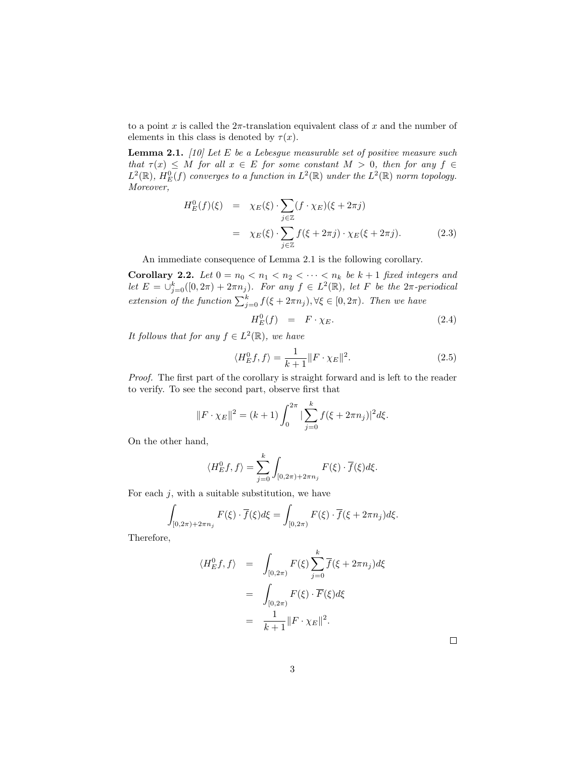to a point x is called the  $2\pi$ -translation equivalent class of x and the number of elements in this class is denoted by  $\tau(x)$ .

**Lemma 2.1.** [10] Let E be a Lebesgue measurable set of positive measure such that  $\tau(x) \leq M$  for all  $x \in E$  for some constant  $M > 0$ , then for any  $f \in$  $L^2(\mathbb{R})$ ,  $H^0_E(f)$  converges to a function in  $L^2(\mathbb{R})$  under the  $L^2(\mathbb{R})$  norm topology. Moreover,

$$
H_E^0(f)(\xi) = \chi_E(\xi) \cdot \sum_{j \in \mathbb{Z}} (f \cdot \chi_E)(\xi + 2\pi j)
$$
  
=  $\chi_E(\xi) \cdot \sum_{j \in \mathbb{Z}} f(\xi + 2\pi j) \cdot \chi_E(\xi + 2\pi j).$  (2.3)

An immediate consequence of Lemma 2.1 is the following corollary.

Corollary 2.2. Let  $0 = n_0 < n_1 < n_2 < \cdots < n_k$  be  $k+1$  fixed integers and let  $E = \bigcup_{j=0}^{k} ([0, 2\pi) + 2\pi n_j)$ . For any  $f \in L^2(\mathbb{R})$ , let F be the  $2\pi$ -periodical extension of the function  $\sum_{j=0}^{k} f(\xi + 2\pi n_j)$ ,  $\forall \xi \in [0, 2\pi)$ . Then we have

$$
H_E^0(f) = F \cdot \chi_E. \tag{2.4}
$$

It follows that for any  $f \in L^2(\mathbb{R})$ , we have

$$
\langle H_E^0 f, f \rangle = \frac{1}{k+1} ||F \cdot \chi_E||^2.
$$
 (2.5)

Proof. The first part of the corollary is straight forward and is left to the reader to verify. To see the second part, observe first that

$$
||F \cdot \chi_E||^2 = (k+1) \int_0^{2\pi} |\sum_{j=0}^k f(\xi + 2\pi n_j)|^2 d\xi.
$$

On the other hand,

$$
\langle H_E^0 f, f \rangle = \sum_{j=0}^k \int_{[0,2\pi)+2\pi n_j} F(\xi) \cdot \overline{f}(\xi) d\xi.
$$

For each  $j$ , with a suitable substitution, we have

$$
\int_{[0,2\pi)+2\pi n_j} F(\xi) \cdot \overline{f}(\xi) d\xi = \int_{[0,2\pi)} F(\xi) \cdot \overline{f}(\xi + 2\pi n_j) d\xi.
$$

Therefore,

$$
\langle H_E^0 f, f \rangle = \int_{[0,2\pi)} F(\xi) \sum_{j=0}^k \overline{f}(\xi + 2\pi n_j) d\xi
$$

$$
= \int_{[0,2\pi)} F(\xi) \cdot \overline{F}(\xi) d\xi
$$

$$
= \frac{1}{k+1} ||F \cdot \chi_E||^2.
$$

 $\Box$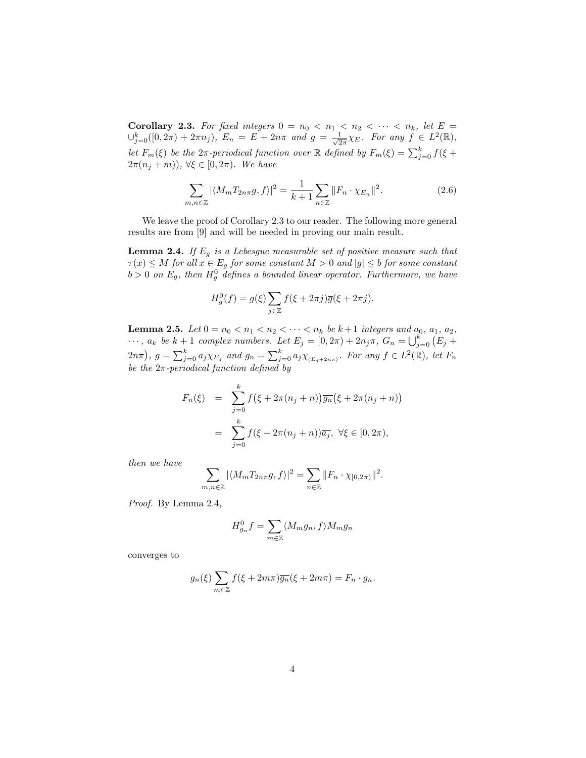**Corollary 2.3.** For fixed integers  $0 = n_0 < n_1 < n_2 < \cdots < n_k$ , let  $E =$  $\cup_{j=0}^{k}([0, 2\pi) + 2\pi n_j), E_n = E + 2n\pi$  and  $g = \frac{1}{\sqrt{2}}$  $\frac{1}{2\pi}\chi_E$ . For any  $f \in L^2(\mathbb{R}),$ let  $F_m(\xi)$  be the  $2\pi$ -periodical function over  $\mathbb R$  defined by  $F_m(\xi) = \sum_{j=0}^k f(\xi +$  $2\pi(n_j+m)$ ,  $\forall \xi \in [0,2\pi)$ . We have

$$
\sum_{m,n\in\mathbb{Z}} |\langle M_m T_{2n\pi} g, f \rangle|^2 = \frac{1}{k+1} \sum_{n\in\mathbb{Z}} \|F_n \cdot \chi_{E_n}\|^2.
$$
 (2.6)

We leave the proof of Corollary 2.3 to our reader. The following more general results are from [9] and will be needed in proving our main result.

**Lemma 2.4.** If  $E_g$  is a Lebesgue measurable set of positive measure such that  $\tau(x) \leq M$  for all  $x \in E_g$  for some constant  $M > 0$  and  $|g| \leq b$  for some constant  $b > 0$  on  $E_g$ , then  $H_g^0$  defines a bounded linear operator. Furthermore, we have

$$
H_g^0(f) = g(\xi) \sum_{j \in \mathbb{Z}} f(\xi + 2\pi j) \overline{g}(\xi + 2\pi j).
$$

**Lemma 2.5.** Let  $0 = n_0 < n_1 < n_2 < \cdots < n_k$  be  $k+1$  integers and  $a_0, a_1, a_2$ , **Lemma 2.5.** Let  $0 = n_0 < n_1 < n_2 < \cdots < n_k$  be  $k+1$  integers and  $a_0, a_1, a_2, \ldots, a_k$  be  $k+1$  complex numbers. Let  $E_j = [0, 2\pi) + 2n_j\pi$ ,  $G_n = \bigcup_{j=0}^k (E_j +$  $(2n\pi)$ ,  $g = \sum_{j=0}^{k} a_j \chi_{E_j}$  and  $g_n = \sum_{j=0}^{k} a_j \chi_{E_j+2n\pi}$ . For any  $f \in L^2(\mathbb{R})$ , let  $F_n$ be the  $2\pi$ -periodical function defined by

$$
F_n(\xi) = \sum_{j=0}^k f(\xi + 2\pi(n_j + n)) \overline{g_n}(\xi + 2\pi(n_j + n))
$$
  
= 
$$
\sum_{j=0}^k f(\xi + 2\pi(n_j + n)) \overline{a_j}, \ \forall \xi \in [0, 2\pi),
$$

then we have

$$
\sum_{m,n\in\mathbb{Z}} |\langle M_m T_{2n\pi}g, f\rangle|^2 = \sum_{n\in\mathbb{Z}} \|F_n \cdot \chi_{[0,2\pi)}\|^2.
$$

Proof. By Lemma 2.4,

$$
H_{g_n}^0 f = \sum_{m \in \mathbb{Z}} \langle M_m g_n, f \rangle M_m g_n
$$

converges to

$$
g_n(\xi) \sum_{m \in \mathbb{Z}} f(\xi + 2m\pi) \overline{g_n}(\xi + 2m\pi) = F_n \cdot g_n.
$$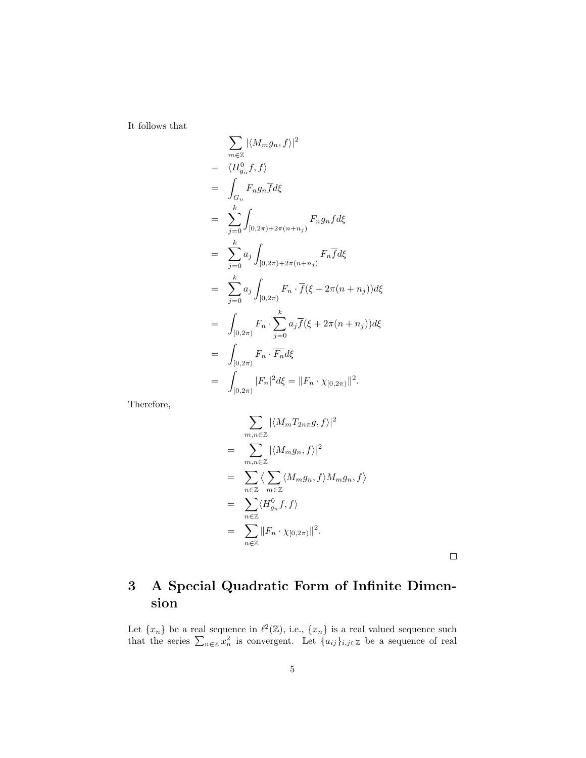It follows that

$$
\sum_{m\in\mathbb{Z}} |\langle M_m g_n, f \rangle|^2
$$
\n
$$
= \langle H_{g_n}^0 f, f \rangle
$$
\n
$$
= \int_{G_n} F_n g_n \overline{f} d\xi
$$
\n
$$
= \sum_{j=0}^k \int_{[0,2\pi)+2\pi(n+n_j)} F_n g_n \overline{f} d\xi
$$
\n
$$
= \sum_{j=0}^k a_j \int_{[0,2\pi)+2\pi(n+n_j)} F_n \overline{f} d\xi
$$
\n
$$
= \sum_{j=0}^k a_j \int_{[0,2\pi)} F_n \cdot \overline{f} (\xi + 2\pi(n+n_j)) d\xi
$$
\n
$$
= \int_{[0,2\pi)} F_n \cdot \sum_{j=0}^k a_j \overline{f} (\xi + 2\pi(n+n_j)) d\xi
$$
\n
$$
= \int_{[0,2\pi)} F_n \cdot \overline{F_n} d\xi
$$
\n
$$
= \int_{[0,2\pi)} |F_n|^2 d\xi = ||F_n \cdot \chi_{[0,2\pi)}||^2.
$$

Therefore,

$$
\sum_{m,n\in\mathbb{Z}} |\langle M_m T_{2n\pi} g, f \rangle|^2
$$
\n
$$
= \sum_{m,n\in\mathbb{Z}} |\langle M_m g_n, f \rangle|^2
$$
\n
$$
= \sum_{n\in\mathbb{Z}} \langle \sum_{m\in\mathbb{Z}} \langle M_m g_n, f \rangle M_m g_n, f \rangle
$$
\n
$$
= \sum_{n\in\mathbb{Z}} \langle H_{g_n}^0 f, f \rangle
$$
\n
$$
= \sum_{n\in\mathbb{Z}} \|F_n \cdot \chi_{[0,2\pi)}\|^2.
$$

 $\Box$ 

## 3 A Special Quadratic Form of Infinite Dimension

Let  $\{x_n\}$  be a real sequence in  $\ell^2(\mathbb{Z})$ , i.e.,  $\{x_n\}$  is a real valued sequence such that the series  $\sum_{n\in\mathbb{Z}} x_n^2$  is convergent. Let  $\{a_{ij}\}_{i,j\in\mathbb{Z}}$  be a sequence of real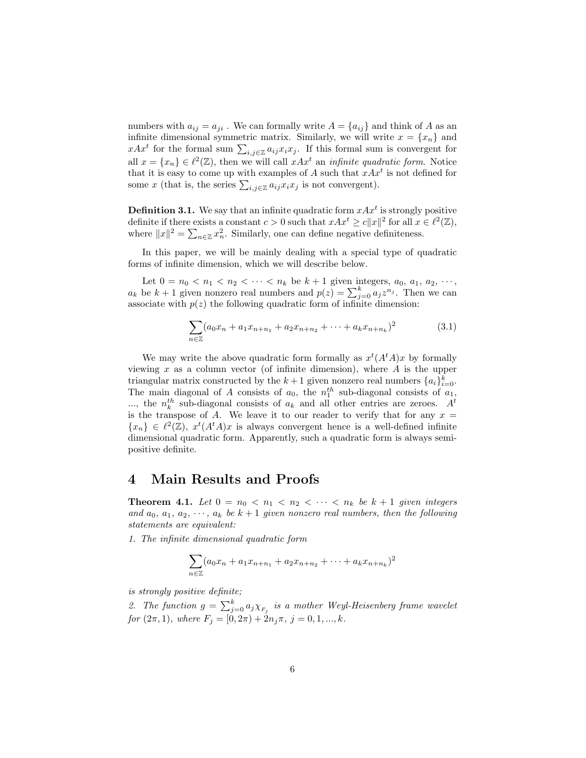numbers with  $a_{ij} = a_{ji}$ . We can formally write  $A = \{a_{ij}\}\$ and think of A as an infinite dimensional symmetric matrix. Similarly, we will write  $x = \{x_n\}$  and minitie dimensional symmetric matrix. Similarly, we will write  $x = \{x_n\}$  and  $xAx^t$  for the formal sum  $\sum_{i,j\in\mathbb{Z}} a_{ij}x_ix_j$ . If this formal sum is convergent for all  $x = \{x_n\} \in \ell^2(\mathbb{Z})$ , then we will call  $xAx^t$  an *infinite quadratic form*. Notice that it is easy to come up with examples of A such that  $xAx^t$  is not defined for that it is easy to come up with examples of A such that  $xAx$ <br>some x (that is, the series  $\sum_{i,j\in\mathbb{Z}} a_{ij}x_ix_j$  is not convergent).

**Definition 3.1.** We say that an infinite quadratic form  $xAx^t$  is strongly positive definite if there exists a constant  $c > 0$  such that  $xAx^t \ge c||x||^2$  for all  $x \in \ell^2(\mathbb{Z}),$ where  $||x||^2 = \sum_{n \in \mathbb{Z}} x_n^2$ . Similarly, one can define negative definiteness.

In this paper, we will be mainly dealing with a special type of quadratic forms of infinite dimension, which we will describe below.

Let  $0 = n_0 < n_1 < n_2 < \cdots < n_k$  be  $k + 1$  given integers,  $a_0, a_1, a_2, \cdots$ , Let  $0 = n_0 < n_1 < n_2 < \cdots < n_k$  be  $k + 1$  given integers,  $a_0, a_1, a_2, \cdots, a_k$  be  $k + 1$  given nonzero real numbers and  $p(z) = \sum_{j=0}^k a_j z^{n_j}$ . Then we can associate with  $p(z)$  the following quadratic form of infinite dimension:

$$
\sum_{n\in\mathbb{Z}} (a_0x_n + a_1x_{n+n_1} + a_2x_{n+n_2} + \cdots + a_kx_{n+n_k})^2
$$
 (3.1)

We may write the above quadratic form formally as  $x^t(A^t A)x$  by formally viewing x as a column vector (of infinite dimension), where  $A$  is the upper triangular matrix constructed by the  $k+1$  given nonzero real numbers  $\{a_i\}_{i=0}^k$ . The main diagonal of A consists of  $a_0$ , the  $n_1^{th}$  sub-diagonal consists of  $a_1$ ,  $...,$  the  $n_k^{th}$  sub-diagonal consists of  $a_k$  and all other entries are zeroes.  $A^t$ is the transpose of A. We leave it to our reader to verify that for any  $x =$  ${x_n} \in \ell^2(\mathbb{Z}), x^t(A^t A)x$  is always convergent hence is a well-defined infinite dimensional quadratic form. Apparently, such a quadratic form is always semipositive definite.

### 4 Main Results and Proofs

**Theorem 4.1.** Let  $0 = n_0 < n_1 < n_2 < \cdots < n_k$  be  $k+1$  given integers and  $a_0, a_1, a_2, \dots, a_k$  be  $k+1$  given nonzero real numbers, then the following statements are equivalent:

1. The infinite dimensional quadratic form

$$
\sum_{n\in\mathbb{Z}} (a_0x_n + a_1x_{n+n_1} + a_2x_{n+n_2} + \cdots + a_kx_{n+n_k})^2
$$

is strongly positive definite;

2. The function  $g = \sum_{j=0}^{k} a_j \chi_{F_j}$  is a mother Weyl-Heisenberg frame wavelet for  $(2\pi, 1)$ , where  $F_j = [\dot{0}, 2\pi) + 2n_j\pi$ ,  $j = 0, 1, ..., k$ .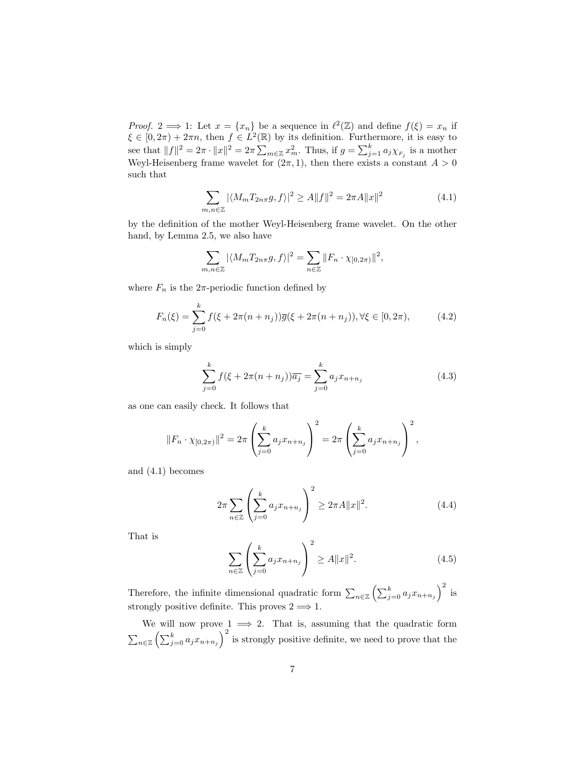*Proof.* 2  $\implies$  1: Let  $x = \{x_n\}$  be a sequence in  $\ell^2(\mathbb{Z})$  and define  $f(\xi) = x_n$  if  $\xi \in [0, 2\pi) + 2\pi n$ , then  $f \in L^2(\mathbb{R})$  by its definition. Furthermore, it is easy to see that  $||f||^2 = 2\pi \cdot ||x||^2 = 2\pi \sum$  $m \in \mathbb{Z}$   $x_m^2$ . Thus, if  $g = \sum_{j=1}^k a_j \chi_{F_j}$  is a mother Weyl-Heisenberg frame wavelet for  $(2\pi, 1)$ , then there exists a constant  $A > 0$ such that

$$
\sum_{m,n\in\mathbb{Z}} |\langle M_m T_{2n\pi} g, f \rangle|^2 \ge A \|f\|^2 = 2\pi A \|x\|^2 \tag{4.1}
$$

by the definition of the mother Weyl-Heisenberg frame wavelet. On the other hand, by Lemma 2.5, we also have

$$
\sum_{m,n\in\mathbb{Z}} |\langle M_m T_{2n\pi}g, f\rangle|^2 = \sum_{n\in\mathbb{Z}} ||F_n \cdot \chi_{[0,2\pi)}||^2,
$$

where  $F_n$  is the  $2\pi$ -periodic function defined by

$$
F_n(\xi) = \sum_{j=0}^k f(\xi + 2\pi(n + n_j))\overline{g}(\xi + 2\pi(n + n_j)), \forall \xi \in [0, 2\pi), \tag{4.2}
$$

which is simply

$$
\sum_{j=0}^{k} f(\xi + 2\pi(n + n_j))\overline{a_j} = \sum_{j=0}^{k} a_j x_{n+n_j}
$$
\n(4.3)

as one can easily check. It follows that

$$
||F_n \cdot \chi_{[0,2\pi)}||^2 = 2\pi \left(\sum_{j=0}^k a_j x_{n+n_j}\right)^2 = 2\pi \left(\sum_{j=0}^k a_j x_{n+n_j}\right)^2,
$$

and (4.1) becomes

$$
2\pi \sum_{n\in\mathbb{Z}} \left( \sum_{j=0}^{k} a_j x_{n+n_j} \right)^2 \ge 2\pi A ||x||^2. \tag{4.4}
$$

That is

$$
\sum_{n\in\mathbb{Z}}\left(\sum_{j=0}^{k}a_{j}x_{n+n_{j}}\right)^{2}\geq A||x||^{2}.
$$
\n(4.5)

Therefore, the infinite dimensional quadratic form  $\sum_{n\in\mathbb{Z}}$  $\sqrt{\nabla^k}$  $\sum_{j=0}^{\kappa} a_j x_{n+n_j}$ is strongly positive definite. This proves  $2 \implies 1$ .

We will now prove  $1 \implies 2$ . That is, assuming that the quadratic form  $\overline{ }$ we will now prov<br>  $\sum_{n\in\mathbb{Z}}\left(\sum_{j=0}^{k}a_{j}x_{n+n_{j}}\right)$  $\frac{c}{\sqrt{2}}$ is strongly positive definite, we need to prove that the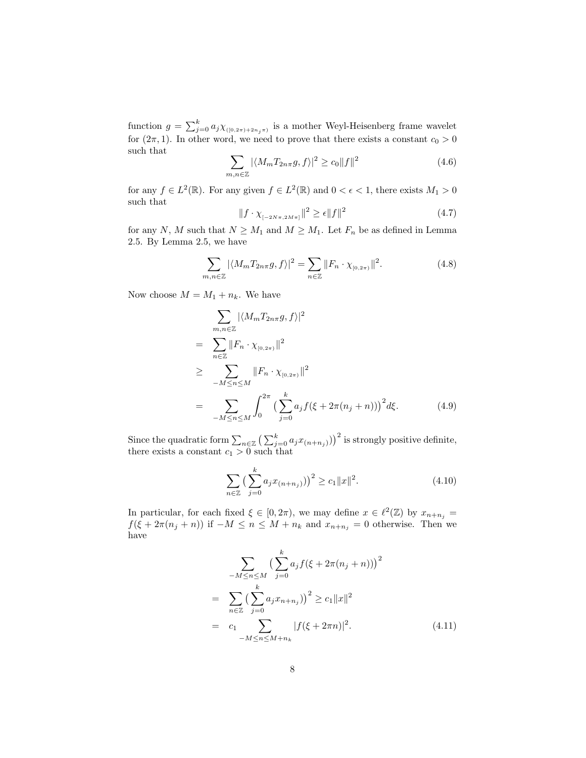function  $g = \sum_{j=0}^{k} a_j \chi_{([0,2\pi)+2n_j\pi)}$  is a mother Weyl-Heisenberg frame wavelet for  $(2\pi, 1)$ . In other word, we need to prove that there exists a constant  $c_0 > 0$ such that  $\overline{\phantom{a}}$ 

$$
\sum_{m,n\in\mathbb{Z}} |\langle M_m T_{2n\pi}g, f\rangle|^2 \ge c_0 \|f\|^2 \tag{4.6}
$$

for any  $f \in L^2(\mathbb{R})$ . For any given  $f \in L^2(\mathbb{R})$  and  $0 < \epsilon < 1$ , there exists  $M_1 > 0$ such that

$$
||f \cdot \chi_{[-2N\pi, 2M\pi]}||^2 \ge \epsilon ||f||^2
$$
\n(4.7)

for any N, M such that  $N \geq M_1$  and  $M \geq M_1$ . Let  $F_n$  be as defined in Lemma 2.5. By Lemma 2.5, we have

$$
\sum_{m,n\in\mathbb{Z}} |\langle M_m T_{2n\pi} g, f \rangle|^2 = \sum_{n\in\mathbb{Z}} \|F_n \cdot \chi_{[0,2\pi)}\|^2.
$$
 (4.8)

Now choose  $M = M_1 + n_k$ . We have

$$
\sum_{m,n\in\mathbb{Z}} |\langle M_m T_{2n\pi} g, f \rangle|^2
$$
\n
$$
= \sum_{n\in\mathbb{Z}} \|F_n \cdot \chi_{[0,2\pi)}\|^2
$$
\n
$$
\geq \sum_{-M \leq n \leq M} \|F_n \cdot \chi_{[0,2\pi)}\|^2
$$
\n
$$
= \sum_{-M \leq n \leq M} \int_0^{2\pi} \left(\sum_{j=0}^k a_j f(\xi + 2\pi(n_j + n))\right)^2 d\xi.
$$
\n(4.9)

Since the quadratic form  $\sum_{n\in\mathbb{Z}}$  $\bigcap_{k}$  $_{j=0}^{k} a_j x_{(n+n_j)}$  $x^{2}$  is strongly positive definite, there exists a constant  $c_1 > 0$  such that

$$
\sum_{n\in\mathbb{Z}} \left( \sum_{j=0}^{k} a_j x_{(n+n_j)} \right)^2 \ge c_1 \|x\|^2. \tag{4.10}
$$

In particular, for each fixed  $\xi \in [0, 2\pi)$ , we may define  $x \in \ell^2(\mathbb{Z})$  by  $x_{n+n_j} =$  $f(\xi + 2\pi(n_j + n))$  if  $-M \leq n \leq M + n_k$  and  $x_{n+n_j} = 0$  otherwise. Then we have

$$
\sum_{-M \le n \le M} \left( \sum_{j=0}^{k} a_j f(\xi + 2\pi (n_j + n)) \right)^2
$$
\n
$$
= \sum_{n \in \mathbb{Z}} \left( \sum_{j=0}^{k} a_j x_{n+n_j} \right)^2 \ge c_1 \|x\|^2
$$
\n
$$
= c_1 \sum_{-M \le n \le M+n_k} |f(\xi + 2\pi n)|^2. \tag{4.11}
$$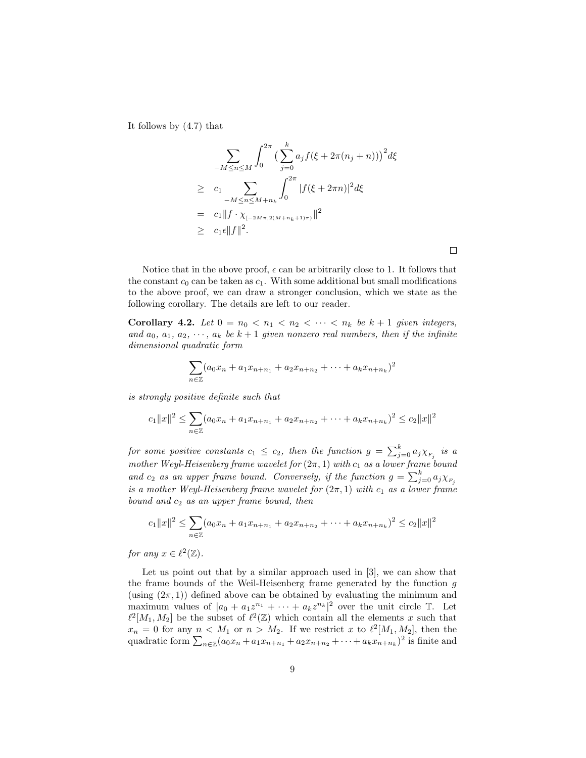It follows by (4.7) that

$$
\sum_{-M \le n \le M} \int_0^{2\pi} \left( \sum_{j=0}^k a_j f(\xi + 2\pi (n_j + n)) \right)^2 d\xi
$$
  
\n
$$
\ge c_1 \sum_{-M \le n \le M + n_k} \int_0^{2\pi} |f(\xi + 2\pi n)|^2 d\xi
$$
  
\n
$$
= c_1 \|f \cdot \chi_{[-2M\pi, 2(M + n_k + 1)\pi)}\|^2
$$
  
\n
$$
\ge c_1 \epsilon \|f\|^2.
$$

Notice that in the above proof,  $\epsilon$  can be arbitrarily close to 1. It follows that the constant  $c_0$  can be taken as  $c_1$ . With some additional but small modifications to the above proof, we can draw a stronger conclusion, which we state as the following corollary. The details are left to our reader.

Corollary 4.2. Let  $0 = n_0 < n_1 < n_2 < \cdots < n_k$  be  $k+1$  given integers, and  $a_0, a_1, a_2, \dots, a_k$  be  $k+1$  given nonzero real numbers, then if the infinite dimensional quadratic form

$$
\sum_{n\in\mathbb{Z}} (a_0x_n + a_1x_{n+n_1} + a_2x_{n+n_2} + \cdots + a_kx_{n+n_k})^2
$$

is strongly positive definite such that

$$
c_1||x||^2 \le \sum_{n\in\mathbb{Z}} (a_0x_n + a_1x_{n+n_1} + a_2x_{n+n_2} + \cdots + a_kx_{n+n_k})^2 \le c_2||x||^2
$$

for some positive constants  $c_1 \leq c_2$ , then the function  $g = \sum_{j=0}^k a_j \chi_{F_j}$  is a mother Weyl-Heisenberg frame wavelet for  $(2\pi, 1)$  with  $c_1$  as a lower frame bound and  $c_2$  as an upper frame bound. Conversely, if the function  $g = \sum_{j=0}^k a_j \chi_{F_j}$ is a mother Weyl-Heisenberg frame wavelet for  $(2\pi,1)$  with  $c_1$  as a lower frame bound and  $c_2$  as an upper frame bound, then

$$
c_1||x||^2 \leq \sum_{n \in \mathbb{Z}} (a_0x_n + a_1x_{n+n_1} + a_2x_{n+n_2} + \cdots + a_kx_{n+n_k})^2 \leq c_2||x||^2
$$

for any  $x \in \ell^2(\mathbb{Z})$ .

Let us point out that by a similar approach used in [3], we can show that the frame bounds of the Weil-Heisenberg frame generated by the function g (using  $(2\pi, 1)$ ) defined above can be obtained by evaluating the minimum and maximum values of  $|a_0 + a_1 z^{n_1} + \cdots + a_k z^{n_k}|^2$  over the unit circle  $\mathbb{T}$ . Let  $\ell^2[M_1, M_2]$  be the subset of  $\ell^2(\mathbb{Z})$  which contain all the elements x such that  $x_n = 0$  for any  $n < M_1$  or  $n > M_2$ . If we restrict x to  $\ell^2[M_1, M_2]$ , then the  $x_n \equiv 0$  for any  $n < M_1$  or  $n > M_2$ . If we restrict x to  $\ell$  [ $M_1, M_2$ ], then the quadratic form  $\sum_{n \in \mathbb{Z}} (a_0 x_n + a_1 x_{n+n_1} + a_2 x_{n+n_2} + \cdots + a_k x_{n+n_k})^2$  is finite and

 $\Box$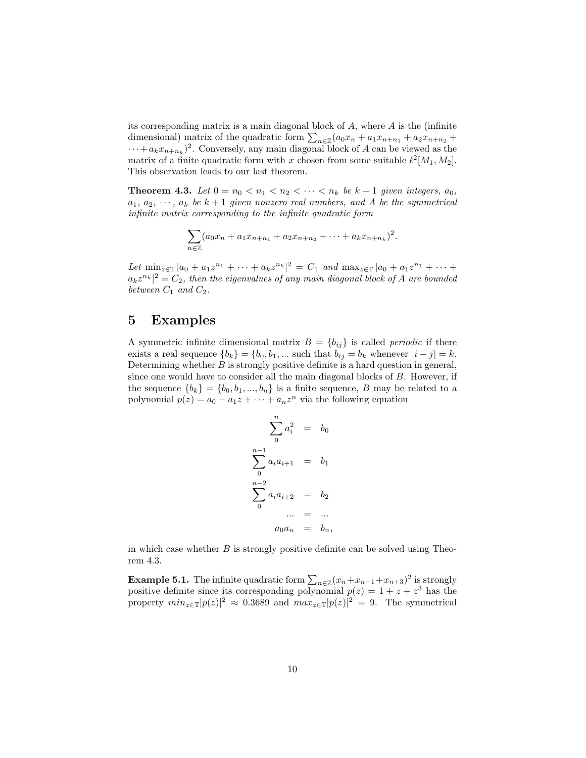its corresponding matrix is a main diagonal block of A, where A is the (infinite the corresponding matrix is a main diagonal block of A, where A is the (immitted imensional) matrix of the quadratic form  $\sum_{n\in\mathbb{Z}}(a_0x_n+a_1x_{n+n_1}+a_2x_{n+n_2}+a_3x_{n+n_3})$  $\cdots + a_k x_{n+n_k}$ <sup>2</sup>. Conversely, any main diagonal block of A can be viewed as the matrix of a finite quadratic form with x chosen from some suitable  $\ell^2[M_1, M_2]$ . This observation leads to our last theorem.

**Theorem 4.3.** Let  $0 = n_0 < n_1 < n_2 < \cdots < n_k$  be  $k+1$  given integers,  $a_0$ ,  $a_1, a_2, \dots, a_k$  be  $k+1$  given nonzero real numbers, and A be the symmetrical infinite matrix corresponding to the infinite quadratic form

$$
\sum_{n\in\mathbb{Z}}(a_0x_n+a_1x_{n+n_1}+a_2x_{n+n_2}+\cdots+a_kx_{n+n_k})^2.
$$

Let  $\min_{z \in \mathbb{T}} |a_0 + a_1 z^{n_1} + \cdots + a_k z^{n_k}|^2 = C_1$  and  $\max_{z \in \mathbb{T}} |a_0 + a_1 z^{n_1} + \cdots + a_k z^{n_k}|^2$  $a_k z^{n_k}|^2 = C_2$ , then the eigenvalues of any main diagonal block of A are bounded between  $C_1$  and  $C_2$ .

### 5 Examples

A symmetric infinite dimensional matrix  $B = \{b_{ij}\}\$ is called *periodic* if there exists a real sequence  ${b_k} = {b_0, b_1, \dots}$  such that  $b_{ij} = b_k$  whenever  $|i - j| = k$ . Determining whether B is strongly positive definite is a hard question in general, since one would have to consider all the main diagonal blocks of B. However, if the sequence  ${b_k} = {b_0, b_1, ..., b_n}$  is a finite sequence, B may be related to a polynomial  $p(z) = a_0 + a_1 z + \cdots + a_n z^n$  via the following equation

$$
\sum_{0}^{n} a_i^2 = b_0
$$
  

$$
\sum_{0}^{n-1} a_i a_{i+1} = b_1
$$
  

$$
\sum_{0}^{n-2} a_i a_{i+2} = b_2
$$
  
... = ...  

$$
a_0 a_n = b_n,
$$

in which case whether  $B$  is strongly positive definite can be solved using Theorem 4.3.

**Example 5.1.** The infinite quadratic form  $\sum_{n\in\mathbb{Z}}(x_n+x_{n+1}+x_{n+3})^2$  is strongly positive definite since its corresponding polynomial  $p(z) = 1 + z + z<sup>3</sup>$  has the property  $min_{z \in \mathbb{T}} |p(z)|^2 \approx 0.3689$  and  $max_{z \in \mathbb{T}} |p(z)|^2 = 9$ . The symmetrical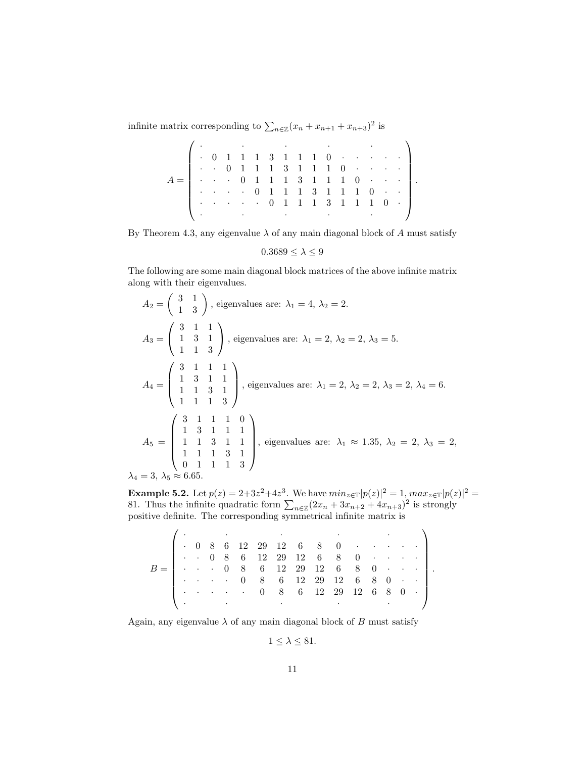infinite matrix corresponding to  $\sum_{n\in\mathbb{Z}}(x_n + x_{n+1} + x_{n+3})^2$  is

|                                                                                                                                                                                                                                 | $\left( \begin{array}{cccccccccccc} \cdot & \cdot & \cdot & \cdot & \cdot & \cdot & \cdot & \cdot \\ \cdot & 0 & 1 & 1 & 1 & 3 & 1 & 1 & 1 & 0 & \cdot & \cdot & \cdot & \cdot \\ \cdot & \cdot & 0 & 1 & 1 & 1 & 3 & 1 & 1 & 1 & 0 & \cdot & \cdot & \cdot & \cdot \\ \end{array} \right)$ |  |  |  |  |  |  |  |  |
|---------------------------------------------------------------------------------------------------------------------------------------------------------------------------------------------------------------------------------|---------------------------------------------------------------------------------------------------------------------------------------------------------------------------------------------------------------------------------------------------------------------------------------------|--|--|--|--|--|--|--|--|
| $A = \begin{bmatrix} . & . & . & 0 & 1 & 1 & 1 & 3 & 1 & 1 & 1 & 0 & . & . & . \\ . & . & . & . & . & 0 & 1 & 1 & 1 & 3 & 1 & 1 & 1 & 0 & . & . \\ . & . & . & . & . & 0 & 1 & 1 & 1 & 3 & 1 & 1 & 1 & 0 & . & . \end{bmatrix}$ |                                                                                                                                                                                                                                                                                             |  |  |  |  |  |  |  |  |
|                                                                                                                                                                                                                                 |                                                                                                                                                                                                                                                                                             |  |  |  |  |  |  |  |  |
|                                                                                                                                                                                                                                 |                                                                                                                                                                                                                                                                                             |  |  |  |  |  |  |  |  |
|                                                                                                                                                                                                                                 |                                                                                                                                                                                                                                                                                             |  |  |  |  |  |  |  |  |
|                                                                                                                                                                                                                                 |                                                                                                                                                                                                                                                                                             |  |  |  |  |  |  |  |  |

By Theorem 4.3, any eigenvalue  $\lambda$  of any main diagonal block of A must satisfy

$$
0.3689\leq\lambda\leq9
$$

The following are some main diagonal block matrices of the above infinite matrix along with their eigenvalues.

$$
A_2 = \begin{pmatrix} 3 & 1 \\ 1 & 3 \end{pmatrix}, \text{ eigenvalues are: } \lambda_1 = 4, \lambda_2 = 2.
$$
  
\n
$$
A_3 = \begin{pmatrix} 3 & 1 & 1 \\ 1 & 3 & 1 \\ 1 & 1 & 3 \end{pmatrix}, \text{ eigenvalues are: } \lambda_1 = 2, \lambda_2 = 2, \lambda_3 = 5.
$$
  
\n
$$
A_4 = \begin{pmatrix} 3 & 1 & 1 & 1 \\ 1 & 3 & 1 & 1 \\ 1 & 1 & 3 & 1 \\ 1 & 1 & 1 & 3 \end{pmatrix}, \text{ eigenvalues are: } \lambda_1 = 2, \lambda_2 = 2, \lambda_3 = 2, \lambda_4 = 6.
$$
  
\n
$$
A_5 = \begin{pmatrix} 3 & 1 & 1 & 1 & 0 \\ 1 & 3 & 1 & 1 & 1 \\ 1 & 1 & 3 & 1 & 1 \\ 1 & 1 & 1 & 3 & 1 \\ 0 & 1 & 1 & 1 & 3 \end{pmatrix}, \text{ eigenvalues are: } \lambda_1 \approx 1.35, \lambda_2 = 2, \lambda_3 = 2,
$$
  
\n
$$
\lambda_4 = 3, \lambda_5 \approx 6.65.
$$

**Example 5.2.** Let  $p(z) = 2+3z^2+4z^3$ . We have  $min_{z \in \mathbb{T}} |p(z)|^2 = 1$ ,  $max_{z \in \mathbb{T}} |p(z)|^2 = 81$ . Thus the infinite quadratic form  $\sum_{n \in \mathbb{Z}} (2x_n + 3x_{n+2} + 4x_{n+3})^2$  is strongly positive definite. The corresponding symmetrical infinite matrix is

.

| $B = \begin{bmatrix} . & . & . & 0 & 8 & 6 & 12 & 29 & 12 & 6 & 8 & 0 & . & . & . \\ . & . & . & . & . & 0 & 8 & 6 & 12 & 29 & 12 & 6 & 8 & 0 & . & . \end{bmatrix}$ |  |  |                                                                                                                                                                                                                                      |  |  |  |                              |                                                                                              |
|----------------------------------------------------------------------------------------------------------------------------------------------------------------------|--|--|--------------------------------------------------------------------------------------------------------------------------------------------------------------------------------------------------------------------------------------|--|--|--|------------------------------|----------------------------------------------------------------------------------------------|
|                                                                                                                                                                      |  |  |                                                                                                                                                                                                                                      |  |  |  |                              |                                                                                              |
|                                                                                                                                                                      |  |  |                                                                                                                                                                                                                                      |  |  |  |                              | $\begin{bmatrix} . & . & . & . & . & 0 & 8 & 6 & 12 & 29 & 12 & 6 & 8 & 0 & . \end{bmatrix}$ |
|                                                                                                                                                                      |  |  | $\mathbf{V}$ and $\mathbf{V}$ are the set of the set of the set of the set of the set of the set of the set of the set of the set of the set of the set of the set of the set of the set of the set of the set of the set of the set |  |  |  | <b>All Contract Contract</b> |                                                                                              |

Again, any eigenvalue  $\lambda$  of any main diagonal block of B must satisfy

$$
1 \leq \lambda \leq 81.
$$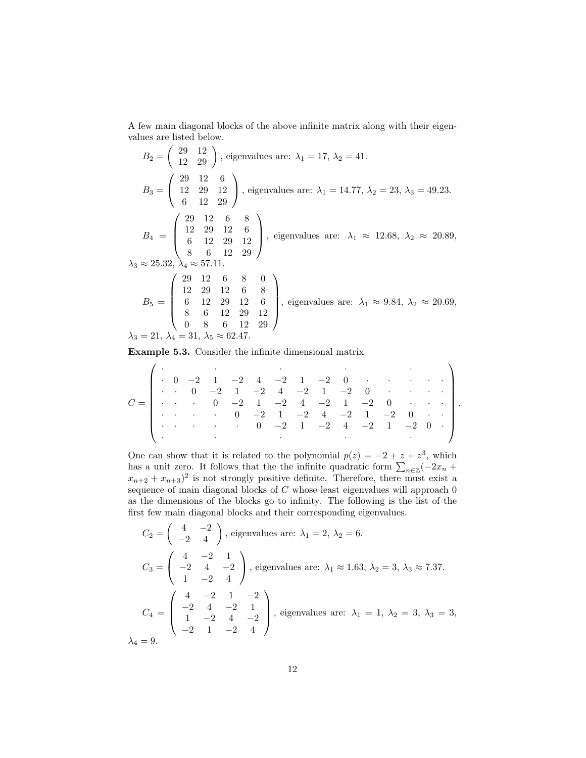A few main diagonal blocks of the above infinite matrix along with their eigen-

values are listed below.  
\n
$$
B_2 = \begin{pmatrix} 29 & 12 \\ 12 & 29 \end{pmatrix}
$$
, eigenvalues are:  $\lambda_1 = 17$ ,  $\lambda_2 = 41$ .  
\n $B_3 = \begin{pmatrix} 29 & 12 & 6 \\ 12 & 29 & 12 \\ 6 & 12 & 29 \end{pmatrix}$ , eigenvalues are:  $\lambda_1 = 14.77$ ,  $\lambda_2 = 23$ ,  $\lambda_3 = 49.23$ .  
\n $B_4 = \begin{pmatrix} 29 & 12 & 6 & 8 \\ 12 & 29 & 12 & 6 \\ 6 & 12 & 29 & 12 \\ 8 & 6 & 12 & 29 \end{pmatrix}$ , eigenvalues are:  $\lambda_1 \approx 12.68$ ,  $\lambda_2 \approx 20.89$ ,  $\lambda_3 \approx 25.32$ ,  $\lambda_4 \approx 57.11$ .  
\n $\lambda_3 \approx 25.32$ ,  $\lambda_4 \approx 57.11$ .  
\n $B_5 = \begin{pmatrix} 29 & 12 & 6 & 8 & 0 \\ 12 & 29 & 12 & 6 & 8 \\ 6 & 12 & 29 & 12 & 6 \\ 8 & 6 & 12 & 29 & 12 \\ 0 & 8 & 6 & 12 & 29 \end{pmatrix}$ , eigenvalues are:  $\lambda_1 \approx 9.84$ ,  $\lambda_2 \approx 20.69$ ,  $\lambda_3 = 21$ ,  $\lambda_4 = 31$ ,  $\lambda_5 \approx 62.47$ .

Example 5.3. Consider the infinite dimensional matrix

C = · · · · · · 0 −2 1 −2 4 −2 1 −2 0 · · · · · · · 0 −2 1 −2 4 −2 1 −2 0 · · · · · · · 0 −2 1 −2 4 −2 1 −2 0 · · · · · · · 0 −2 1 −2 4 −2 1 −2 0 · · · · · · · 0 −2 1 −2 4 −2 1 −2 0 · · · · · · .

One can show that it is related to the polynomial  $p(z) = -2 + z + z^3$ , which has a unit zero. It follows that the the infinite quadratic form  $\sum_{n \in \mathbb{Z}} (-2x_n + z)$  $(x_{n+2} + x_{n+3})^2$  is not strongly positive definite. Therefore, there must exist a sequence of main diagonal blocks of  $C$  whose least eigenvalues will approach 0 as the dimensions of the blocks go to infinity. The following is the list of the first few main diagonal blocks and their corresponding eigenvalues.

$$
C_2 = \begin{pmatrix} 4 & -2 \\ -2 & 4 \end{pmatrix}, \text{ eigenvalues are: } \lambda_1 = 2, \lambda_2 = 6.
$$
  
\n
$$
C_3 = \begin{pmatrix} 4 & -2 & 1 \\ -2 & 4 & -2 \\ 1 & -2 & 4 \end{pmatrix}, \text{ eigenvalues are: } \lambda_1 \approx 1.63, \lambda_2 = 3, \lambda_3 \approx 7.37.
$$
  
\n
$$
C_4 = \begin{pmatrix} 4 & -2 & 1 & -2 \\ -2 & 4 & -2 & 1 \\ 1 & -2 & 4 & -2 \\ -2 & 1 & -2 & 4 \end{pmatrix}, \text{ eigenvalues are: } \lambda_1 = 1, \lambda_2 = 3, \lambda_3 = 3,
$$
  
\n
$$
\lambda_4 = 9.
$$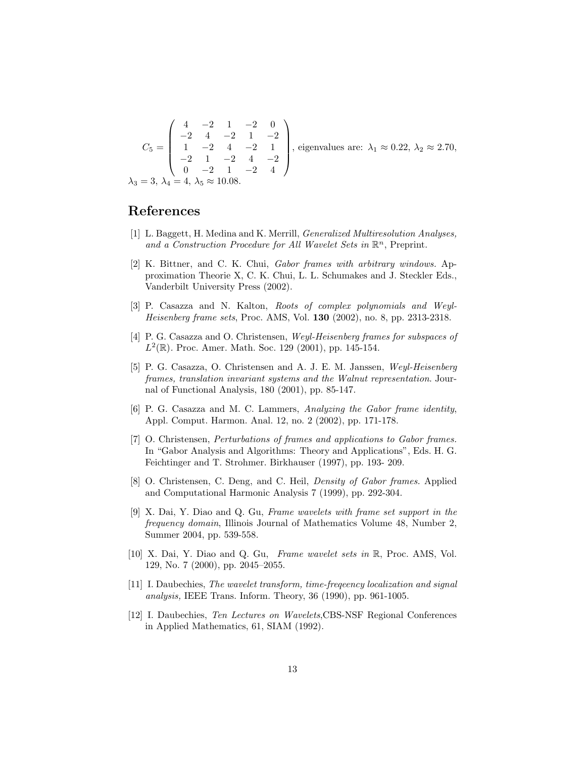$$
C_5 = \begin{pmatrix} 4 & -2 & 1 & -2 & 0 \\ -2 & 4 & -2 & 1 & -2 \\ 1 & -2 & 4 & -2 & 1 \\ -2 & 1 & -2 & 4 & -2 \\ 0 & -2 & 1 & -2 & 4 \end{pmatrix}
$$
, eigenvalues are:  $\lambda_1 \approx 0.22$ ,  $\lambda_2 \approx 2.70$ ,  
 $\lambda_3 = 3$ ,  $\lambda_4 = 4$ ,  $\lambda_5 \approx 10.08$ .

### References

- [1] L. Baggett, H. Medina and K. Merrill, Generalized Multiresolution Analyses, and a Construction Procedure for All Wavelet Sets in  $\mathbb{R}^n$ , Preprint.
- [2] K. Bittner, and C. K. Chui, Gabor frames with arbitrary windows. Approximation Theorie X, C. K. Chui, L. L. Schumakes and J. Steckler Eds., Vanderbilt University Press (2002).
- [3] P. Casazza and N. Kalton, Roots of complex polynomials and Weyl-Heisenberg frame sets, Proc. AMS, Vol. 130 (2002), no. 8, pp. 2313-2318.
- [4] P. G. Casazza and O. Christensen, Weyl-Heisenberg frames for subspaces of  $L^2(\mathbb{R})$ . Proc. Amer. Math. Soc. 129 (2001), pp. 145-154.
- [5] P. G. Casazza, O. Christensen and A. J. E. M. Janssen, Weyl-Heisenberg frames, translation invariant systems and the Walnut representation. Journal of Functional Analysis, 180 (2001), pp. 85-147.
- [6] P. G. Casazza and M. C. Lammers, Analyzing the Gabor frame identity, Appl. Comput. Harmon. Anal. 12, no. 2 (2002), pp. 171-178.
- [7] O. Christensen, Perturbations of frames and applications to Gabor frames. In "Gabor Analysis and Algorithms: Theory and Applications", Eds. H. G. Feichtinger and T. Strohmer. Birkhauser (1997), pp. 193- 209.
- [8] O. Christensen, C. Deng, and C. Heil, Density of Gabor frames. Applied and Computational Harmonic Analysis 7 (1999), pp. 292-304.
- [9] X. Dai, Y. Diao and Q. Gu, Frame wavelets with frame set support in the frequency domain, Illinois Journal of Mathematics Volume 48, Number 2, Summer 2004, pp. 539-558.
- [10] X. Dai, Y. Diao and Q. Gu, Frame wavelet sets in R, Proc. AMS, Vol. 129, No. 7 (2000), pp. 2045–2055.
- [11] I. Daubechies, The wavelet transform, time-freqeency localization and signal analysis, IEEE Trans. Inform. Theory, 36 (1990), pp. 961-1005.
- [12] I. Daubechies, Ten Lectures on Wavelets,CBS-NSF Regional Conferences in Applied Mathematics, 61, SIAM (1992).